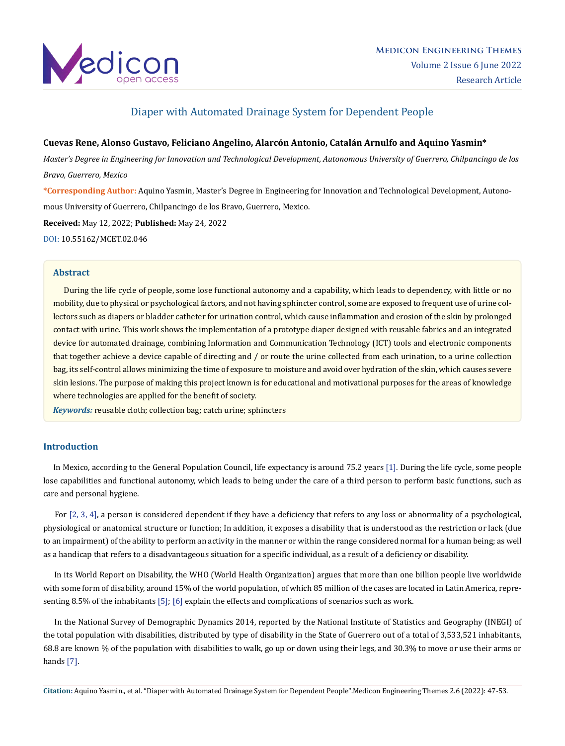

# Diaper with Automated Drainage System for Dependent People

## **Cuevas Rene, Alonso Gustavo, Feliciano Angelino, Alarcón Antonio, Catalán Arnulfo and Aquino Yasmin\***

*Master's Degree in Engineering for Innovation and Technological Development, Autonomous University of Guerrero, Chilpancingo de los Bravo, Guerrero, Mexico*

**\*Corresponding Author:** Aquino Yasmin, Master's Degree in Engineering for Innovation and Technological Development, Autonomous University of Guerrero, Chilpancingo de los Bravo, Guerrero, Mexico.

**Received:** May 12, 2022; **Published:** May 24, 2022 [DOI: 10.55162/MCET.02.046](https://doi.org/10.55162/MCET.02.046)

### **Abstract**

 During the life cycle of people, some lose functional autonomy and a capability, which leads to dependency, with little or no mobility, due to physical or psychological factors, and not having sphincter control, some are exposed to frequent use of urine collectors such as diapers or bladder catheter for urination control, which cause inflammation and erosion of the skin by prolonged contact with urine. This work shows the implementation of a prototype diaper designed with reusable fabrics and an integrated device for automated drainage, combining Information and Communication Technology (ICT) tools and electronic components that together achieve a device capable of directing and / or route the urine collected from each urination, to a urine collection bag, its self-control allows minimizing the time of exposure to moisture and avoid over hydration of the skin, which causes severe skin lesions. The purpose of making this project known is for educational and motivational purposes for the areas of knowledge where technologies are applied for the benefit of society.

*Keywords:* reusable cloth; collection bag; catch urine; sphincters

## **Introduction**

 In Mexico, according to the General Population Council, life expectancy is around 75.2 years [1]. During the life cycle, some people lose capabilities and functional autonomy, which leads to being under the care of a third person to perform basic functions, such as care and personal hygiene.

 For [2, 3, 4], a person is considered dependent if they have a deficiency that refers to any loss or abnormality of a psychological, physiological or anatomical structure or function; In addition, it exposes a disability that is understood as the restriction or lack (due to an impairment) of the ability to perform an activity in the manner or within the range considered normal for a human being; as well as a handicap that refers to a disadvantageous situation for a specific individual, as a result of a deficiency or disability.

 In its World Report on Disability, the WHO (World Health Organization) argues that more than one billion people live worldwide with some form of disability, around 15% of the world population, of which 85 million of the cases are located in Latin America, representing 8.5% of the inhabitants [5]; [6] explain the effects and complications of scenarios such as work.

 In the National Survey of Demographic Dynamics 2014, reported by the National Institute of Statistics and Geography (INEGI) of the total population with disabilities, distributed by type of disability in the State of Guerrero out of a total of 3,533,521 inhabitants, 68.8 are known % of the population with disabilities to walk, go up or down using their legs, and 30.3% to move or use their arms or hands [7].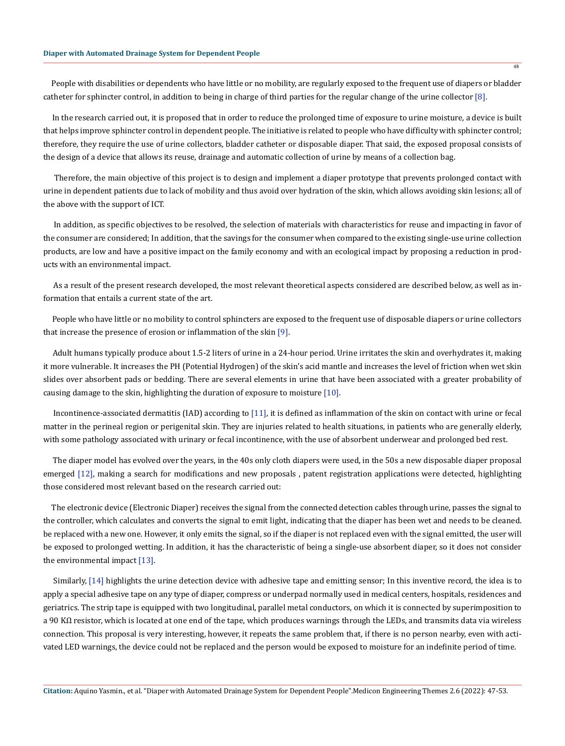People with disabilities or dependents who have little or no mobility, are regularly exposed to the frequent use of diapers or bladder catheter for sphincter control, in addition to being in charge of third parties for the regular change of the urine collector [8].

 In the research carried out, it is proposed that in order to reduce the prolonged time of exposure to urine moisture, a device is built that helps improve sphincter control in dependent people. The initiative is related to people who have difficulty with sphincter control; therefore, they require the use of urine collectors, bladder catheter or disposable diaper. That said, the exposed proposal consists of the design of a device that allows its reuse, drainage and automatic collection of urine by means of a collection bag.

 Therefore, the main objective of this project is to design and implement a diaper prototype that prevents prolonged contact with urine in dependent patients due to lack of mobility and thus avoid over hydration of the skin, which allows avoiding skin lesions; all of the above with the support of ICT.

 In addition, as specific objectives to be resolved, the selection of materials with characteristics for reuse and impacting in favor of the consumer are considered; In addition, that the savings for the consumer when compared to the existing single-use urine collection products, are low and have a positive impact on the family economy and with an ecological impact by proposing a reduction in products with an environmental impact.

 As a result of the present research developed, the most relevant theoretical aspects considered are described below, as well as information that entails a current state of the art.

 People who have little or no mobility to control sphincters are exposed to the frequent use of disposable diapers or urine collectors that increase the presence of erosion or inflammation of the skin [9].

 Adult humans typically produce about 1.5-2 liters of urine in a 24-hour period. Urine irritates the skin and overhydrates it, making it more vulnerable. It increases the PH (Potential Hydrogen) of the skin's acid mantle and increases the level of friction when wet skin slides over absorbent pads or bedding. There are several elements in urine that have been associated with a greater probability of causing damage to the skin, highlighting the duration of exposure to moisture [10].

 Incontinence-associated dermatitis (IAD) according to [11], it is defined as inflammation of the skin on contact with urine or fecal matter in the perineal region or perigenital skin. They are injuries related to health situations, in patients who are generally elderly, with some pathology associated with urinary or fecal incontinence, with the use of absorbent underwear and prolonged bed rest.

 The diaper model has evolved over the years, in the 40s only cloth diapers were used, in the 50s a new disposable diaper proposal emerged [12], making a search for modifications and new proposals , patent registration applications were detected, highlighting those considered most relevant based on the research carried out:

 The electronic device (Electronic Diaper) receives the signal from the connected detection cables through urine, passes the signal to the controller, which calculates and converts the signal to emit light, indicating that the diaper has been wet and needs to be cleaned. be replaced with a new one. However, it only emits the signal, so if the diaper is not replaced even with the signal emitted, the user will be exposed to prolonged wetting. In addition, it has the characteristic of being a single-use absorbent diaper, so it does not consider the environmental impact [13].

 Similarly, [14] highlights the urine detection device with adhesive tape and emitting sensor; In this inventive record, the idea is to apply a special adhesive tape on any type of diaper, compress or underpad normally used in medical centers, hospitals, residences and geriatrics. The strip tape is equipped with two longitudinal, parallel metal conductors, on which it is connected by superimposition to a 90 KΩ resistor, which is located at one end of the tape, which produces warnings through the LEDs, and transmits data via wireless connection. This proposal is very interesting, however, it repeats the same problem that, if there is no person nearby, even with activated LED warnings, the device could not be replaced and the person would be exposed to moisture for an indefinite period of time.

48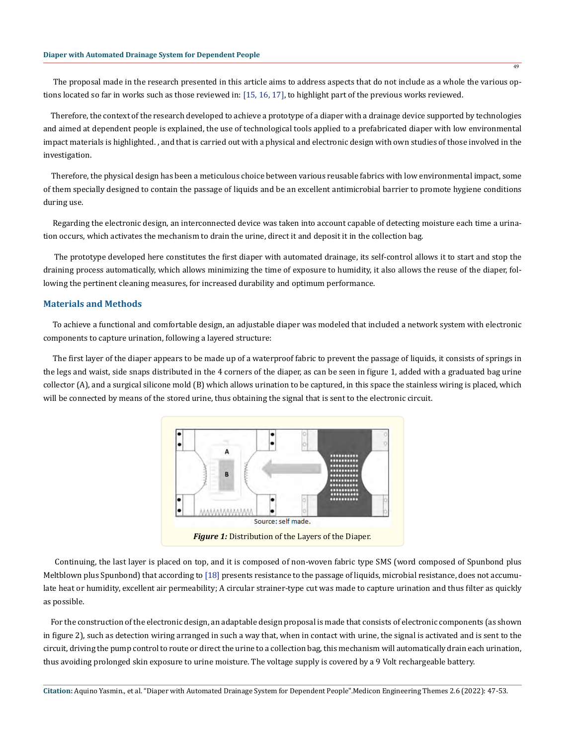The proposal made in the research presented in this article aims to address aspects that do not include as a whole the various options located so far in works such as those reviewed in: [15, 16, 17], to highlight part of the previous works reviewed.

 Therefore, the context of the research developed to achieve a prototype of a diaper with a drainage device supported by technologies and aimed at dependent people is explained, the use of technological tools applied to a prefabricated diaper with low environmental impact materials is highlighted. , and that is carried out with a physical and electronic design with own studies of those involved in the investigation.

 Therefore, the physical design has been a meticulous choice between various reusable fabrics with low environmental impact, some of them specially designed to contain the passage of liquids and be an excellent antimicrobial barrier to promote hygiene conditions during use.

 Regarding the electronic design, an interconnected device was taken into account capable of detecting moisture each time a urination occurs, which activates the mechanism to drain the urine, direct it and deposit it in the collection bag.

 The prototype developed here constitutes the first diaper with automated drainage, its self-control allows it to start and stop the draining process automatically, which allows minimizing the time of exposure to humidity, it also allows the reuse of the diaper, following the pertinent cleaning measures, for increased durability and optimum performance.

#### **Materials and Methods**

 To achieve a functional and comfortable design, an adjustable diaper was modeled that included a network system with electronic components to capture urination, following a layered structure:

 The first layer of the diaper appears to be made up of a waterproof fabric to prevent the passage of liquids, it consists of springs in the legs and waist, side snaps distributed in the 4 corners of the diaper, as can be seen in figure 1, added with a graduated bag urine collector (A), and a surgical silicone mold (B) which allows urination to be captured, in this space the stainless wiring is placed, which will be connected by means of the stored urine, thus obtaining the signal that is sent to the electronic circuit.



 Continuing, the last layer is placed on top, and it is composed of non-woven fabric type SMS (word composed of Spunbond plus Meltblown plus Spunbond) that according to [18] presents resistance to the passage of liquids, microbial resistance, does not accumulate heat or humidity, excellent air permeability; A circular strainer-type cut was made to capture urination and thus filter as quickly as possible.

 For the construction of the electronic design, an adaptable design proposal is made that consists of electronic components (as shown in figure 2), such as detection wiring arranged in such a way that, when in contact with urine, the signal is activated and is sent to the circuit, driving the pump control to route or direct the urine to a collection bag, this mechanism will automatically drain each urination, thus avoiding prolonged skin exposure to urine moisture. The voltage supply is covered by a 9 Volt rechargeable battery.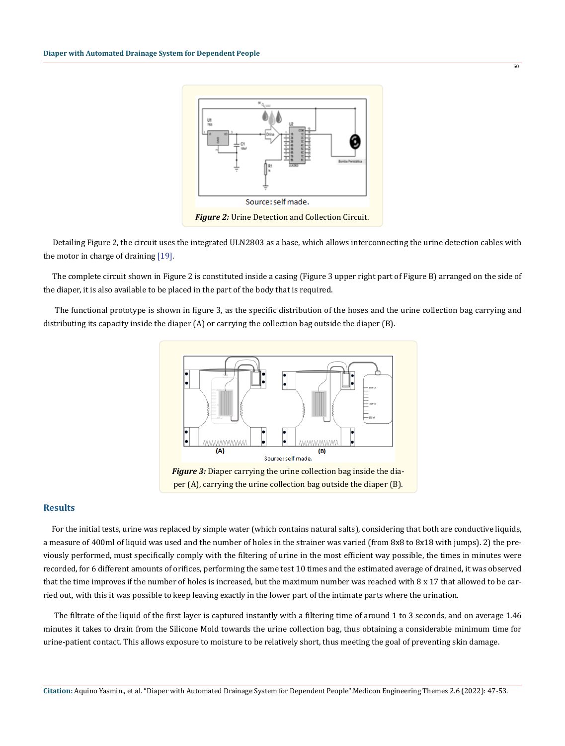

 $\overline{50}$ 

 Detailing Figure 2, the circuit uses the integrated ULN2803 as a base, which allows interconnecting the urine detection cables with the motor in charge of draining [19].

 The complete circuit shown in Figure 2 is constituted inside a casing (Figure 3 upper right part of Figure B) arranged on the side of the diaper, it is also available to be placed in the part of the body that is required.

 The functional prototype is shown in figure 3, as the specific distribution of the hoses and the urine collection bag carrying and distributing its capacity inside the diaper (A) or carrying the collection bag outside the diaper (B).



## **Results**

 For the initial tests, urine was replaced by simple water (which contains natural salts), considering that both are conductive liquids, a measure of 400ml of liquid was used and the number of holes in the strainer was varied (from 8x8 to 8x18 with jumps). 2) the previously performed, must specifically comply with the filtering of urine in the most efficient way possible, the times in minutes were recorded, for 6 different amounts of orifices, performing the same test 10 times and the estimated average of drained, it was observed that the time improves if the number of holes is increased, but the maximum number was reached with 8 x 17 that allowed to be carried out, with this it was possible to keep leaving exactly in the lower part of the intimate parts where the urination.

 The filtrate of the liquid of the first layer is captured instantly with a filtering time of around 1 to 3 seconds, and on average 1.46 minutes it takes to drain from the Silicone Mold towards the urine collection bag, thus obtaining a considerable minimum time for urine-patient contact. This allows exposure to moisture to be relatively short, thus meeting the goal of preventing skin damage.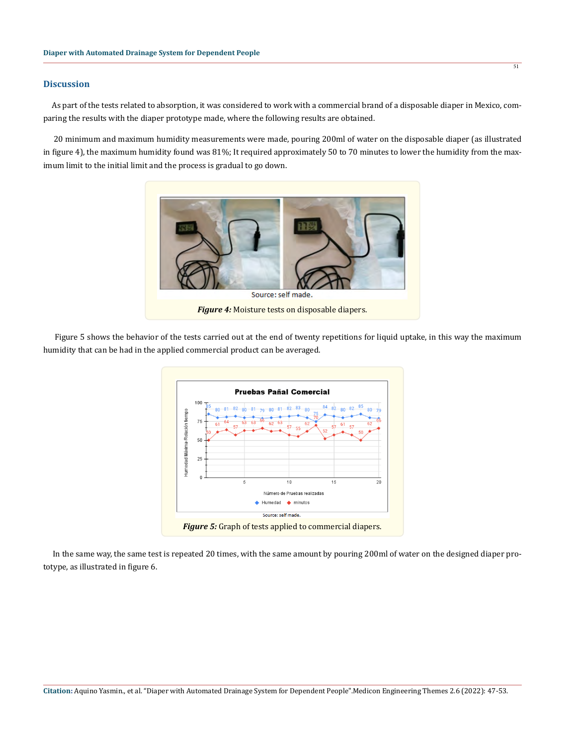## **Discussion**

 As part of the tests related to absorption, it was considered to work with a commercial brand of a disposable diaper in Mexico, comparing the results with the diaper prototype made, where the following results are obtained.

 20 minimum and maximum humidity measurements were made, pouring 200ml of water on the disposable diaper (as illustrated in figure 4), the maximum humidity found was 81%; It required approximately 50 to 70 minutes to lower the humidity from the maximum limit to the initial limit and the process is gradual to go down.



 Figure 5 shows the behavior of the tests carried out at the end of twenty repetitions for liquid uptake, in this way the maximum humidity that can be had in the applied commercial product can be averaged.



 In the same way, the same test is repeated 20 times, with the same amount by pouring 200ml of water on the designed diaper prototype, as illustrated in figure 6.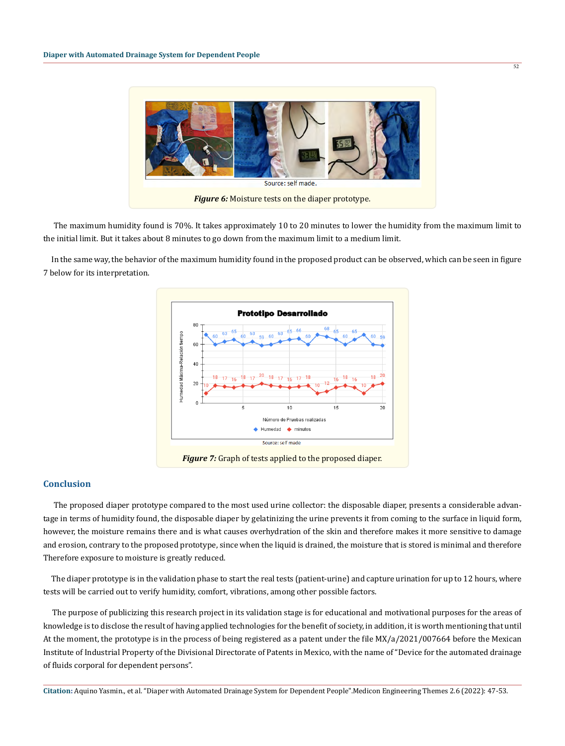

 $52$ 

 The maximum humidity found is 70%. It takes approximately 10 to 20 minutes to lower the humidity from the maximum limit to the initial limit. But it takes about 8 minutes to go down from the maximum limit to a medium limit.

 In the same way, the behavior of the maximum humidity found in the proposed product can be observed, which can be seen in figure 7 below for its interpretation.



#### **Conclusion**

 The proposed diaper prototype compared to the most used urine collector: the disposable diaper, presents a considerable advantage in terms of humidity found, the disposable diaper by gelatinizing the urine prevents it from coming to the surface in liquid form, however, the moisture remains there and is what causes overhydration of the skin and therefore makes it more sensitive to damage and erosion, contrary to the proposed prototype, since when the liquid is drained, the moisture that is stored is minimal and therefore Therefore exposure to moisture is greatly reduced.

 The diaper prototype is in the validation phase to start the real tests (patient-urine) and capture urination for up to 12 hours, where tests will be carried out to verify humidity, comfort, vibrations, among other possible factors.

 The purpose of publicizing this research project in its validation stage is for educational and motivational purposes for the areas of knowledge is to disclose the result of having applied technologies for the benefit of society, in addition, it is worth mentioning that until At the moment, the prototype is in the process of being registered as a patent under the file MX/a/2021/007664 before the Mexican Institute of Industrial Property of the Divisional Directorate of Patents in Mexico, with the name of "Device for the automated drainage of fluids corporal for dependent persons".